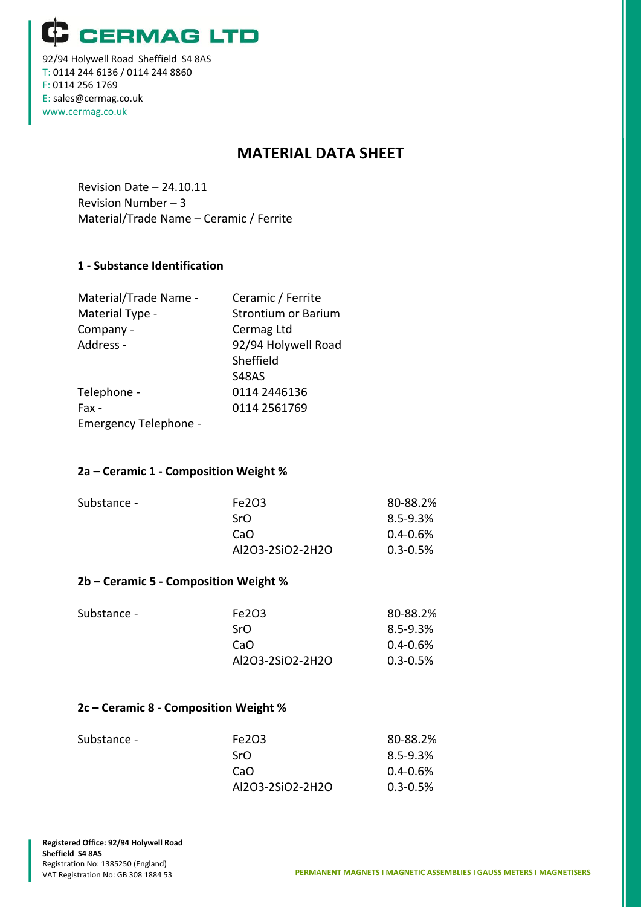**CERMAG LTD** 

92/94 Holywell Road Sheffield S4 8AS T: 0114 244 6136 / 0114 244 8860 F: 0114 256 1769 E: sales@cermag.co.uk www.cermag.co.uk

# **MATERIAL DATA SHEET**

Revision Date – 24.10.11 Revision Number – 3 Material/Trade Name – Ceramic / Ferrite

#### **1 - Substance Identification**

| Material/Trade Name -        | Ceramic / Ferrite          |
|------------------------------|----------------------------|
| Material Type -              | <b>Strontium or Barium</b> |
| Company -                    | Cermag Ltd                 |
| Address -                    | 92/94 Holywell Road        |
|                              | Sheffield                  |
|                              | S48AS                      |
| Telephone -                  | 0114 2446136               |
| Fax -                        | 0114 2561769               |
| <b>Emergency Telephone -</b> |                            |

#### **2a – Ceramic 1 - Composition Weight %**

| Substance - | Fe203            | 80-88.2%     |
|-------------|------------------|--------------|
|             | SrO.             | 8.5-9.3%     |
|             | CaO              | $0.4 - 0.6%$ |
|             | Al2O3-2SiO2-2H2O | $0.3 - 0.5%$ |

#### **2b – Ceramic 5 - Composition Weight %**

| Fe203            | 80-88.2%      |
|------------------|---------------|
| SrO.             | $8.5 - 9.3\%$ |
| CaO              | $0.4 - 0.6%$  |
| Al2O3-2SiO2-2H2O | $0.3 - 0.5\%$ |
|                  |               |

#### **2c – Ceramic 8 - Composition Weight %**

| Substance - | Fe203            | 80-88.2%     |
|-------------|------------------|--------------|
|             | SrO              | $8.5 - 9.3%$ |
|             | CaO              | $0.4 - 0.6%$ |
|             | Al2O3-2SiO2-2H2O | $0.3 - 0.5%$ |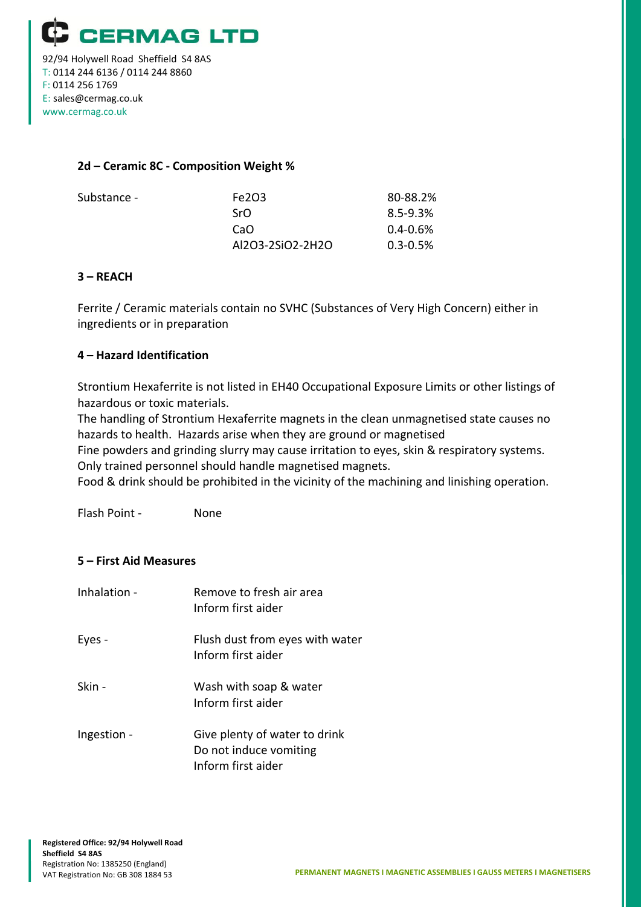# **2d – Ceramic 8C - Composition Weight %**

| Substance - | Fe203            | 80-88.2%     |
|-------------|------------------|--------------|
|             | SrO              | $8.5 - 9.3%$ |
|             | CaO              | $0.4 - 0.6%$ |
|             | Al2O3-2SiO2-2H2O | $0.3 - 0.5%$ |

# **3 – REACH**

Ferrite / Ceramic materials contain no SVHC (Substances of Very High Concern) either in ingredients or in preparation

# **4 – Hazard Identification**

Strontium Hexaferrite is not listed in EH40 Occupational Exposure Limits or other listings of hazardous or toxic materials.

The handling of Strontium Hexaferrite magnets in the clean unmagnetised state causes no hazards to health. Hazards arise when they are ground or magnetised

Fine powders and grinding slurry may cause irritation to eyes, skin & respiratory systems. Only trained personnel should handle magnetised magnets.

Food & drink should be prohibited in the vicinity of the machining and linishing operation.

Flash Point - None

# **5 – First Aid Measures**

| Inhalation - | Remove to fresh air area<br>Inform first aider                                |
|--------------|-------------------------------------------------------------------------------|
| Eyes -       | Flush dust from eyes with water<br>Inform first aider                         |
| Skin -       | Wash with soap & water<br>Inform first aider                                  |
| Ingestion -  | Give plenty of water to drink<br>Do not induce vomiting<br>Inform first aider |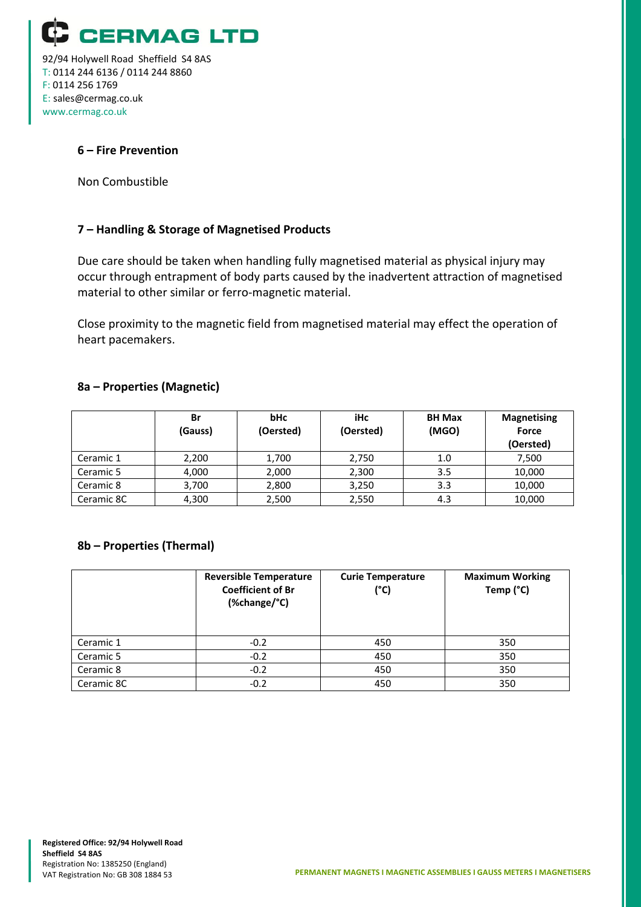

92/94 Holywell Road Sheffield S4 8AS T: 0114 244 6136 / 0114 244 8860 F: 0114 256 1769 E: sales@cermag.co.uk www.cermag.co.uk

# **6 – Fire Prevention**

Non Combustible

# **7 – Handling & Storage of Magnetised Products**

Due care should be taken when handling fully magnetised material as physical injury may occur through entrapment of body parts caused by the inadvertent attraction of magnetised material to other similar or ferro-magnetic material.

Close proximity to the magnetic field from magnetised material may effect the operation of heart pacemakers.

#### **8a – Properties (Magnetic)**

|            | Br<br>(Gauss) | bHc<br>(Oersted) | iHc<br>(Oersted) | <b>BH Max</b><br>(MGO) | <b>Magnetising</b><br><b>Force</b><br>(Oersted) |
|------------|---------------|------------------|------------------|------------------------|-------------------------------------------------|
| Ceramic 1  | 2,200         | 1,700            | 2,750            | 1.0                    | 7,500                                           |
| Ceramic 5  | 4,000         | 2,000            | 2,300            | 3.5                    | 10,000                                          |
| Ceramic 8  | 3,700         | 2,800            | 3,250            | 3.3                    | 10,000                                          |
| Ceramic 8C | 4,300         | 2,500            | 2,550            | 4.3                    | 10,000                                          |

# **8b – Properties (Thermal)**

|            | <b>Reversible Temperature</b><br><b>Coefficient of Br</b><br>(%change/°C) | <b>Curie Temperature</b><br>(°C) | <b>Maximum Working</b><br>Temp (°C) |  |
|------------|---------------------------------------------------------------------------|----------------------------------|-------------------------------------|--|
| Ceramic 1  | $-0.2$                                                                    | 450                              | 350                                 |  |
| Ceramic 5  | $-0.2$                                                                    | 450                              | 350                                 |  |
| Ceramic 8  | $-0.2$                                                                    | 450                              | 350                                 |  |
| Ceramic 8C | $-0.2$                                                                    | 450                              | 350                                 |  |